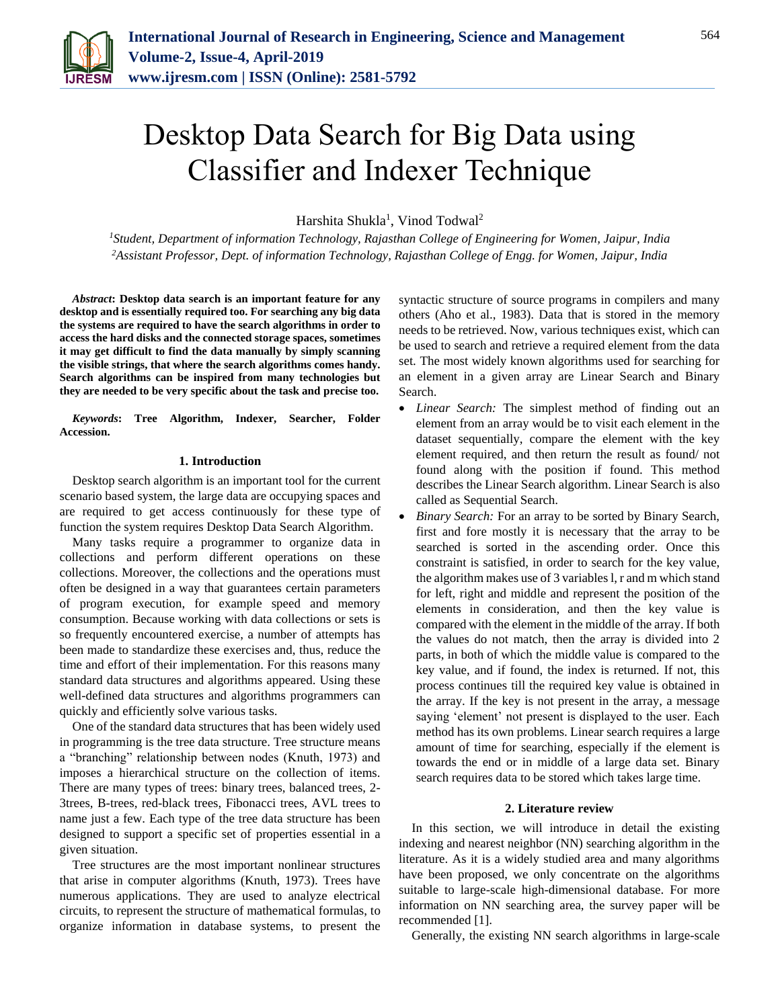

# Desktop Data Search for Big Data using Classifier and Indexer Technique

Harshita Shukla<sup>1</sup>, Vinod Todwal<sup>2</sup>

*<sup>1</sup>Student, Department of information Technology, Rajasthan College of Engineering for Women, Jaipur, India <sup>2</sup>Assistant Professor, Dept. of information Technology, Rajasthan College of Engg. for Women, Jaipur, India*

*Abstract***: Desktop data search is an important feature for any desktop and is essentially required too. For searching any big data the systems are required to have the search algorithms in order to access the hard disks and the connected storage spaces, sometimes it may get difficult to find the data manually by simply scanning the visible strings, that where the search algorithms comes handy. Search algorithms can be inspired from many technologies but they are needed to be very specific about the task and precise too.**

*Keywords***: Tree Algorithm, Indexer, Searcher, Folder Accession.**

# **1. Introduction**

Desktop search algorithm is an important tool for the current scenario based system, the large data are occupying spaces and are required to get access continuously for these type of function the system requires Desktop Data Search Algorithm.

Many tasks require a programmer to organize data in collections and perform different operations on these collections. Moreover, the collections and the operations must often be designed in a way that guarantees certain parameters of program execution, for example speed and memory consumption. Because working with data collections or sets is so frequently encountered exercise, a number of attempts has been made to standardize these exercises and, thus, reduce the time and effort of their implementation. For this reasons many standard data structures and algorithms appeared. Using these well-defined data structures and algorithms programmers can quickly and efficiently solve various tasks.

One of the standard data structures that has been widely used in programming is the tree data structure. Tree structure means a "branching" relationship between nodes (Knuth, 1973) and imposes a hierarchical structure on the collection of items. There are many types of trees: binary trees, balanced trees, 2- 3trees, B-trees, red-black trees, Fibonacci trees, AVL trees to name just a few. Each type of the tree data structure has been designed to support a specific set of properties essential in a given situation.

Tree structures are the most important nonlinear structures that arise in computer algorithms (Knuth, 1973). Trees have numerous applications. They are used to analyze electrical circuits, to represent the structure of mathematical formulas, to organize information in database systems, to present the syntactic structure of source programs in compilers and many others (Aho et al., 1983). Data that is stored in the memory needs to be retrieved. Now, various techniques exist, which can be used to search and retrieve a required element from the data set. The most widely known algorithms used for searching for an element in a given array are Linear Search and Binary Search.

- *Linear Search:* The simplest method of finding out an element from an array would be to visit each element in the dataset sequentially, compare the element with the key element required, and then return the result as found/ not found along with the position if found. This method describes the Linear Search algorithm. Linear Search is also called as Sequential Search.
- *Binary Search:* For an array to be sorted by Binary Search, first and fore mostly it is necessary that the array to be searched is sorted in the ascending order. Once this constraint is satisfied, in order to search for the key value, the algorithm makes use of 3 variables l, r and m which stand for left, right and middle and represent the position of the elements in consideration, and then the key value is compared with the element in the middle of the array. If both the values do not match, then the array is divided into 2 parts, in both of which the middle value is compared to the key value, and if found, the index is returned. If not, this process continues till the required key value is obtained in the array. If the key is not present in the array, a message saying 'element' not present is displayed to the user. Each method has its own problems. Linear search requires a large amount of time for searching, especially if the element is towards the end or in middle of a large data set. Binary search requires data to be stored which takes large time.

#### **2. Literature review**

In this section, we will introduce in detail the existing indexing and nearest neighbor (NN) searching algorithm in the literature. As it is a widely studied area and many algorithms have been proposed, we only concentrate on the algorithms suitable to large-scale high-dimensional database. For more information on NN searching area, the survey paper will be recommended [1].

Generally, the existing NN search algorithms in large-scale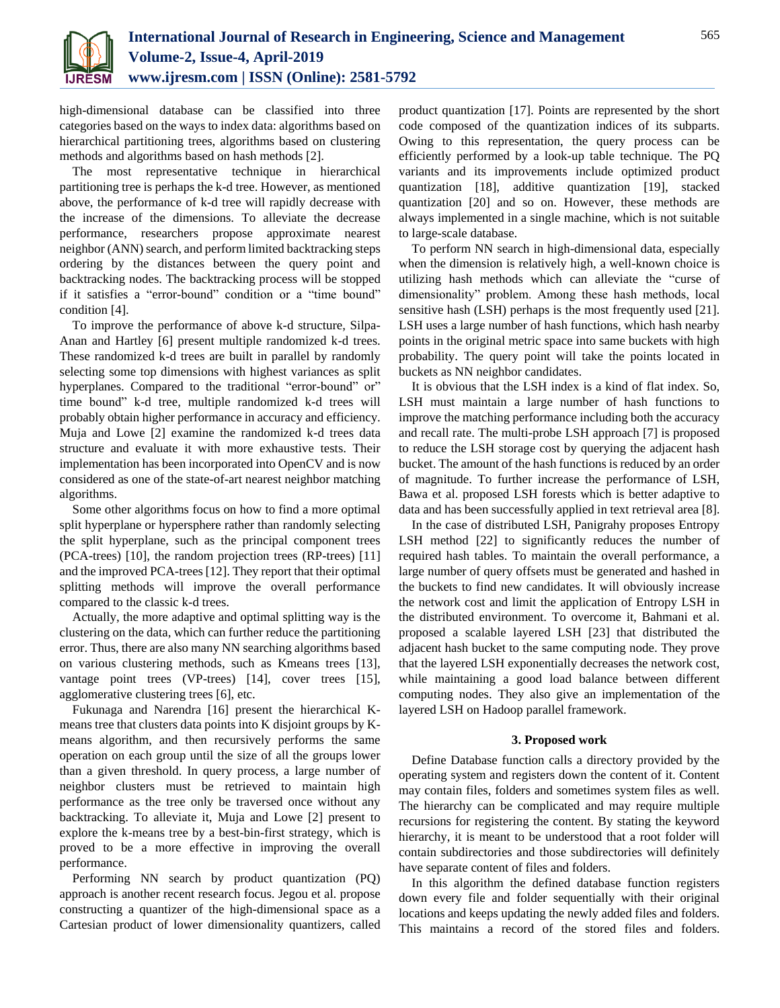

high-dimensional database can be classified into three categories based on the ways to index data: algorithms based on hierarchical partitioning trees, algorithms based on clustering methods and algorithms based on hash methods [2].

The most representative technique in hierarchical partitioning tree is perhaps the k-d tree. However, as mentioned above, the performance of k-d tree will rapidly decrease with the increase of the dimensions. To alleviate the decrease performance, researchers propose approximate nearest neighbor (ANN) search, and perform limited backtracking steps ordering by the distances between the query point and backtracking nodes. The backtracking process will be stopped if it satisfies a "error-bound" condition or a "time bound" condition [4].

To improve the performance of above k-d structure, Silpa-Anan and Hartley [6] present multiple randomized k-d trees. These randomized k-d trees are built in parallel by randomly selecting some top dimensions with highest variances as split hyperplanes. Compared to the traditional "error-bound" or" time bound" k-d tree, multiple randomized k-d trees will probably obtain higher performance in accuracy and efficiency. Muja and Lowe [2] examine the randomized k-d trees data structure and evaluate it with more exhaustive tests. Their implementation has been incorporated into OpenCV and is now considered as one of the state-of-art nearest neighbor matching algorithms.

Some other algorithms focus on how to find a more optimal split hyperplane or hypersphere rather than randomly selecting the split hyperplane, such as the principal component trees (PCA-trees) [10], the random projection trees (RP-trees) [11] and the improved PCA-trees [12]. They report that their optimal splitting methods will improve the overall performance compared to the classic k-d trees.

Actually, the more adaptive and optimal splitting way is the clustering on the data, which can further reduce the partitioning error. Thus, there are also many NN searching algorithms based on various clustering methods, such as Kmeans trees [13], vantage point trees (VP-trees) [14], cover trees [15], agglomerative clustering trees [6], etc.

Fukunaga and Narendra [16] present the hierarchical Kmeans tree that clusters data points into K disjoint groups by Kmeans algorithm, and then recursively performs the same operation on each group until the size of all the groups lower than a given threshold. In query process, a large number of neighbor clusters must be retrieved to maintain high performance as the tree only be traversed once without any backtracking. To alleviate it, Muja and Lowe [2] present to explore the k-means tree by a best-bin-first strategy, which is proved to be a more effective in improving the overall performance.

Performing NN search by product quantization (PQ) approach is another recent research focus. Jegou et al. propose constructing a quantizer of the high-dimensional space as a Cartesian product of lower dimensionality quantizers, called product quantization [17]. Points are represented by the short code composed of the quantization indices of its subparts. Owing to this representation, the query process can be efficiently performed by a look-up table technique. The PQ variants and its improvements include optimized product quantization [18], additive quantization [19], stacked quantization [20] and so on. However, these methods are always implemented in a single machine, which is not suitable to large-scale database.

To perform NN search in high-dimensional data, especially when the dimension is relatively high, a well-known choice is utilizing hash methods which can alleviate the "curse of dimensionality" problem. Among these hash methods, local sensitive hash (LSH) perhaps is the most frequently used [21]. LSH uses a large number of hash functions, which hash nearby points in the original metric space into same buckets with high probability. The query point will take the points located in buckets as NN neighbor candidates.

It is obvious that the LSH index is a kind of flat index. So, LSH must maintain a large number of hash functions to improve the matching performance including both the accuracy and recall rate. The multi-probe LSH approach [7] is proposed to reduce the LSH storage cost by querying the adjacent hash bucket. The amount of the hash functions is reduced by an order of magnitude. To further increase the performance of LSH, Bawa et al. proposed LSH forests which is better adaptive to data and has been successfully applied in text retrieval area [8].

In the case of distributed LSH, Panigrahy proposes Entropy LSH method [22] to significantly reduces the number of required hash tables. To maintain the overall performance, a large number of query offsets must be generated and hashed in the buckets to find new candidates. It will obviously increase the network cost and limit the application of Entropy LSH in the distributed environment. To overcome it, Bahmani et al. proposed a scalable layered LSH [23] that distributed the adjacent hash bucket to the same computing node. They prove that the layered LSH exponentially decreases the network cost, while maintaining a good load balance between different computing nodes. They also give an implementation of the layered LSH on Hadoop parallel framework.

## **3. Proposed work**

Define Database function calls a directory provided by the operating system and registers down the content of it. Content may contain files, folders and sometimes system files as well. The hierarchy can be complicated and may require multiple recursions for registering the content. By stating the keyword hierarchy, it is meant to be understood that a root folder will contain subdirectories and those subdirectories will definitely have separate content of files and folders.

In this algorithm the defined database function registers down every file and folder sequentially with their original locations and keeps updating the newly added files and folders. This maintains a record of the stored files and folders.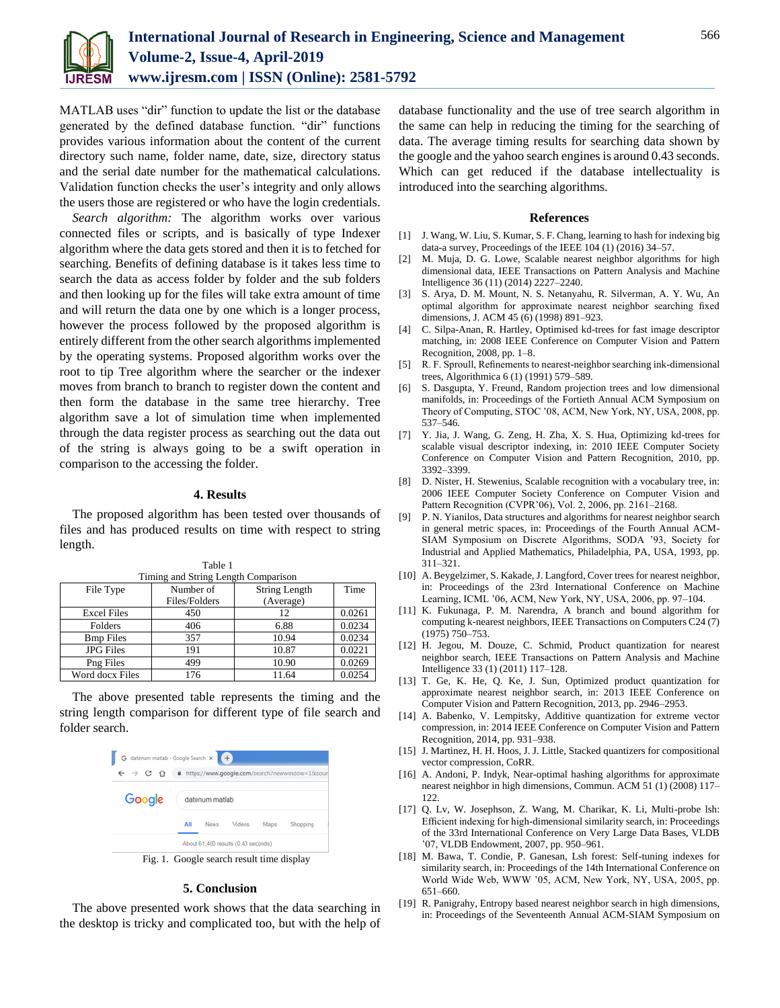

MATLAB uses "dir" function to update the list or the database generated by the defined database function. "dir" functions provides various information about the content of the current directory such name, folder name, date, size, directory status and the serial date number for the mathematical calculations. Validation function checks the user's integrity and only allows the users those are registered or who have the login credentials.

*Search algorithm:* The algorithm works over various connected files or scripts, and is basically of type Indexer algorithm where the data gets stored and then it is to fetched for searching. Benefits of defining database is it takes less time to search the data as access folder by folder and the sub folders and then looking up for the files will take extra amount of time and will return the data one by one which is a longer process, however the process followed by the proposed algorithm is entirely different from the other search algorithms implemented by the operating systems. Proposed algorithm works over the root to tip Tree algorithm where the searcher or the indexer moves from branch to branch to register down the content and then form the database in the same tree hierarchy. Tree algorithm save a lot of simulation time when implemented through the data register process as searching out the data out of the string is always going to be a swift operation in comparison to the accessing the folder.

## **4. Results**

The proposed algorithm has been tested over thousands of files and has produced results on time with respect to string length.

| Timing and String Length Comparison |               |               |        |
|-------------------------------------|---------------|---------------|--------|
| File Type                           | Number of     | String Length | Time   |
|                                     | Files/Folders | (Average)     |        |
| <b>Excel Files</b>                  | 450           | 12            | 0.0261 |
| Folders                             | 406           | 6.88          | 0.0234 |
| <b>Bmp</b> Files                    | 357           | 10.94         | 0.0234 |
| <b>JPG</b> Files                    | 191           | 10.87         | 0.0221 |
| Png Files                           | 499           | 10.90         | 0.0269 |
| Word docx Files                     | 176           | 11.64         | 0.0254 |

Table 1

The above presented table represents the timing and the string length comparison for different type of file search and folder search.



Fig. 1. Google search result time display

## **5. Conclusion**

The above presented work shows that the data searching in the desktop is tricky and complicated too, but with the help of database functionality and the use of tree search algorithm in the same can help in reducing the timing for the searching of data. The average timing results for searching data shown by the google and the yahoo search engines is around 0.43 seconds. Which can get reduced if the database intellectuality is introduced into the searching algorithms.

#### **References**

- [1] J. Wang, W. Liu, S. Kumar, S. F. Chang, learning to hash for indexing big data-a survey, Proceedings of the IEEE 104 (1) (2016) 34–57.
- [2] M. Muja, D. G. Lowe, Scalable nearest neighbor algorithms for high dimensional data, IEEE Transactions on Pattern Analysis and Machine Intelligence 36 (11) (2014) 2227–2240.
- [3] S. Arya, D. M. Mount, N. S. Netanyahu, R. Silverman, A. Y. Wu, An optimal algorithm for approximate nearest neighbor searching fixed dimensions, J. ACM 45 (6) (1998) 891–923.
- [4] C. Silpa-Anan, R. Hartley, Optimised kd-trees for fast image descriptor matching, in: 2008 IEEE Conference on Computer Vision and Pattern Recognition, 2008, pp. 1–8.
- [5] R. F. Sproull, Refinements to nearest-neighbor searching ink-dimensional trees, Algorithmica 6 (1) (1991) 579–589.
- [6] S. Dasgupta, Y. Freund, Random projection trees and low dimensional manifolds, in: Proceedings of the Fortieth Annual ACM Symposium on Theory of Computing, STOC '08, ACM, New York, NY, USA, 2008, pp. 537–546.
- [7] Y. Jia, J. Wang, G. Zeng, H. Zha, X. S. Hua, Optimizing kd-trees for scalable visual descriptor indexing, in: 2010 IEEE Computer Society Conference on Computer Vision and Pattern Recognition, 2010, pp. 3392–3399.
- [8] D. Nister, H. Stewenius, Scalable recognition with a vocabulary tree, in: 2006 IEEE Computer Society Conference on Computer Vision and Pattern Recognition (CVPR'06), Vol. 2, 2006, pp. 2161–2168.
- [9] P. N. Yianilos, Data structures and algorithms for nearest neighbor search in general metric spaces, in: Proceedings of the Fourth Annual ACM-SIAM Symposium on Discrete Algorithms, SODA '93, Society for Industrial and Applied Mathematics, Philadelphia, PA, USA, 1993, pp. 311–321.
- [10] A. Beygelzimer, S. Kakade, J. Langford, Cover trees for nearest neighbor, in: Proceedings of the 23rd International Conference on Machine Learning, ICML '06, ACM, New York, NY, USA, 2006, pp. 97–104.
- [11] K. Fukunaga, P. M. Narendra, A branch and bound algorithm for computing k-nearest neighbors, IEEE Transactions on Computers C24 (7) (1975) 750–753.
- [12] H. Jegou, M. Douze, C. Schmid, Product quantization for nearest neighbor search, IEEE Transactions on Pattern Analysis and Machine Intelligence 33 (1) (2011) 117–128.
- [13] T. Ge, K. He, Q. Ke, J. Sun, Optimized product quantization for approximate nearest neighbor search, in: 2013 IEEE Conference on Computer Vision and Pattern Recognition, 2013, pp. 2946–2953.
- [14] A. Babenko, V. Lempitsky, Additive quantization for extreme vector compression, in: 2014 IEEE Conference on Computer Vision and Pattern Recognition, 2014, pp. 931–938.
- [15] J. Martinez, H. H. Hoos, J. J. Little, Stacked quantizers for compositional vector compression, CoRR.
- [16] A. Andoni, P. Indyk, Near-optimal hashing algorithms for approximate nearest neighbor in high dimensions, Commun. ACM 51 (1) (2008) 117– 122.
- [17] Q. Lv, W. Josephson, Z. Wang, M. Charikar, K. Li, Multi-probe lsh: Efficient indexing for high-dimensional similarity search, in: Proceedings of the 33rd International Conference on Very Large Data Bases, VLDB '07, VLDB Endowment, 2007, pp. 950–961.
- [18] M. Bawa, T. Condie, P. Ganesan, Lsh forest: Self-tuning indexes for similarity search, in: Proceedings of the 14th International Conference on World Wide Web, WWW '05, ACM, New York, NY, USA, 2005, pp. 651–660.
- [19] R. Panigrahy, Entropy based nearest neighbor search in high dimensions, in: Proceedings of the Seventeenth Annual ACM-SIAM Symposium on